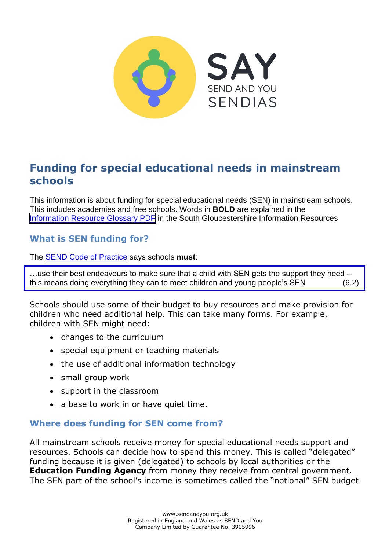

# **Funding for special educational needs in mainstream schools**

This information is about funding for special educational needs (SEN) in mainstream schools. This includes academies and free schools. Words in **BOLD** are explained in the [Information Resource Glossary PDF](https://www.supportiveparents.org.uk/wp-content/uploads/2020/02/Information-Resource-Glossary-REVISED2.pdf) in the South Gloucestershire Information Resources

### **What is SEN funding for?**

The [SEND Code of Practice](https://www.gov.uk/government/publications/send-code-of-practice-0-to-25) says schools **must**:

…use their best endeavours to make sure that a child with SEN gets the support they need – this means doing everything they can to meet children and young people's SEN (6.2)

Schools should use some of their budget to buy resources and make provision for children who need additional help. This can take many forms. For example, children with SEN might need:

- changes to the curriculum
- special equipment or teaching materials
- the use of additional information technology
- small group work
- support in the classroom
- a base to work in or have quiet time.

#### **Where does funding for SEN come from?**

All mainstream schools receive money for special educational needs support and resources. Schools can decide how to spend this money. This is called "delegated" funding because it is given (delegated) to schools by local authorities or the **Education Funding Agency** from money they receive from central government. The SEN part of the school's income is sometimes called the "notional" SEN budget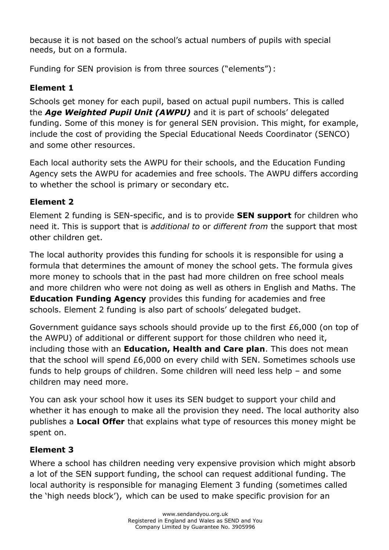because it is not based on the school's actual numbers of pupils with special needs, but on a formula.

Funding for SEN provision is from three sources ("elements") :

# **Element 1**

Schools get money for each pupil, based on actual pupil numbers. This is called the *Age Weighted Pupil Unit (AWPU)* and it is part of schools' delegated funding. Some of this money is for general SEN provision. This might, for example, include the cost of providing the Special Educational Needs Coordinator (SENCO) and some other resources.

Each local authority sets the AWPU for their schools, and the Education Funding Agency sets the AWPU for academies and free schools. The AWPU differs according to whether the school is primary or secondary etc.

## **Element 2**

Element 2 funding is SEN-specific, and is to provide **SEN support** for children who need it. This is support that is *additional to* or *different from* the support that most other children get.

The local authority provides this funding for schools it is responsible for using a formula that determines the amount of money the school gets. The formula gives more money to schools that in the past had more children on free school meals and more children who were not doing as well as others in English and Maths. The **Education Funding Agency** provides this funding for academies and free schools. Element 2 funding is also part of schools' delegated budget.

Government guidance says schools should provide up to the first £6,000 (on top of the AWPU) of additional or different support for those children who need it, including those with an **Education, Health and Care plan**. This does not mean that the school will spend £6,000 on every child with SEN. Sometimes schools use funds to help groups of children. Some children will need less help – and some children may need more.

You can ask your school how it uses its SEN budget to support your child and whether it has enough to make all the provision they need. The local authority also publishes a **Local Offer** that explains what type of resources this money might be spent on.

### **Element 3**

Where a school has children needing very expensive provision which might absorb a lot of the SEN support funding, the school can request additional funding. The local authority is responsible for managing Element 3 funding (sometimes called the 'high needs block'), which can be used to make specific provision for an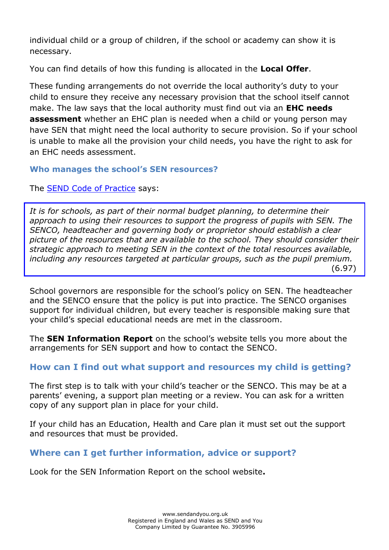individual child or a group of children, if the school or academy can show it is necessary.

You can find details of how this funding is allocated in the **Local Offer**.

These funding arrangements do not override the local authority's duty to your child to ensure they receive any necessary provision that the school itself cannot make. The law says that the local authority must find out via an **EHC needs assessment** whether an EHC plan is needed when a child or young person may have SEN that might need the local authority to secure provision. So if your school is unable to make all the provision your child needs, you have the right to ask for an EHC needs assessment.

#### **Who manages the school's SEN resources?**

The **SEND Code of Practice** says:

It is for schools, as part of their normal budget planning, to determine their *approach to using their resources to support the progress of pupils with SEN. The SENCO, headteacher and governing body or proprietor should establish a clear picture of the resources that are available to the school. They should consider their strategic approach to meeting SEN in the context of the total resources available, including any resources targeted at particular groups, such as the pupil premium.* (6.97)

School governors are responsible for the school's policy on SEN. The headteacher and the SENCO ensure that the policy is put into practice. The SENCO organises support for individual children, but every teacher is responsible making sure that your child's special educational needs are met in the classroom.

The **SEN Information Report** on the school's website tells you more about the arrangements for SEN support and how to contact the SENCO.

### **How can I find out what support and resources my child is getting?**

The first step is to talk with your child's teacher or the SENCO. This may be at a parents' evening, a support plan meeting or a review. You can ask for a written copy of any support plan in place for your child.

If your child has an Education, Health and Care plan it must set out the support and resources that must be provided.

### **Where can I get further information, advice or support?**

Look for the SEN Information Report on the school website**.**